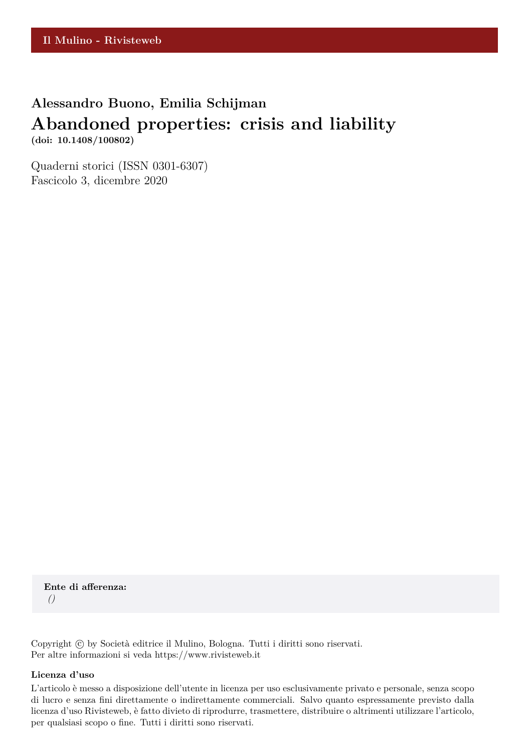# **Alessandro Buono, Emilia Schijman**

# **Abandoned properties: crisis and liability**

**(doi: 10.1408/100802)**

Quaderni storici (ISSN 0301-6307) Fascicolo 3, dicembre 2020

**Ente di afferenza:** *()*

Copyright © by Società editrice il Mulino, Bologna. Tutti i diritti sono riservati. Per altre informazioni si veda https://www.rivisteweb.it

### **Licenza d'uso**

L'articolo è messo a disposizione dell'utente in licenza per uso esclusivamente privato e personale, senza scopo di lucro e senza fini direttamente o indirettamente commerciali. Salvo quanto espressamente previsto dalla licenza d'uso Rivisteweb, è fatto divieto di riprodurre, trasmettere, distribuire o altrimenti utilizzare l'articolo, per qualsiasi scopo o fine. Tutti i diritti sono riservati.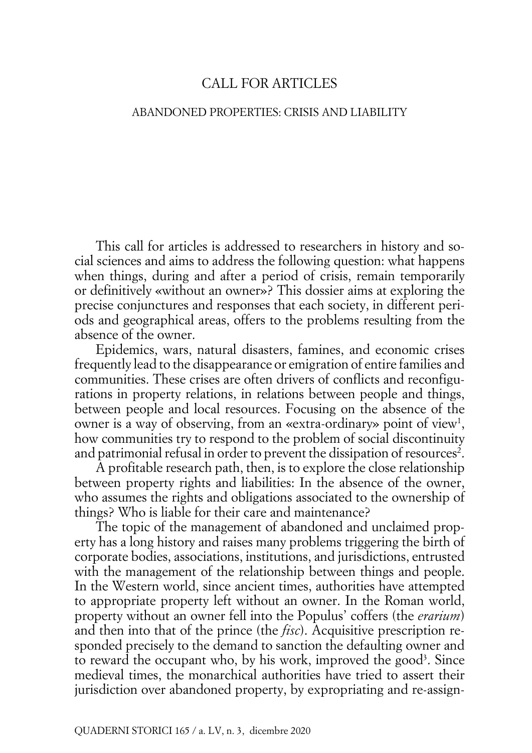## CALL FOR ARTICLES

#### ABANDONED PROPERTIES: CRISIS AND LIABILITY

This call for articles is addressed to researchers in history and social sciences and aims to address the following question: what happens when things, during and after a period of crisis, remain temporarily or definitively «without an owner»? This dossier aims at exploring the precise conjunctures and responses that each society, in different periods and geographical areas, offers to the problems resulting from the absence of the owner.

Epidemics, wars, natural disasters, famines, and economic crises frequently lead to the disappearance or emigration of entire families and communities. These crises are often drivers of conflicts and reconfigurations in property relations, in relations between people and things, between people and local resources. Focusing on the absence of the owner is a way of observing, from an «extra-ordinary» point of view<sup>1</sup>, how communities try to respond to the problem of social discontinuity and patrimonial refusal in order to prevent the dissipation of resources<sup>2</sup>.

A profitable research path, then, is to explore the close relationship between property rights and liabilities: In the absence of the owner, who assumes the rights and obligations associated to the ownership of things? Who is liable for their care and maintenance?

The topic of the management of abandoned and unclaimed property has a long history and raises many problems triggering the birth of corporate bodies, associations, institutions, and jurisdictions, entrusted with the management of the relationship between things and people. In the Western world, since ancient times, authorities have attempted to appropriate property left without an owner. In the Roman world, property without an owner fell into the Populus' coffers (the *erarium*) and then into that of the prince (the *fisc*). Acquisitive prescription responded precisely to the demand to sanction the defaulting owner and to reward the occupant who, by his work, improved the good<sup>3</sup>. Since medieval times, the monarchical authorities have tried to assert their jurisdiction over abandoned property, by expropriating and re-assign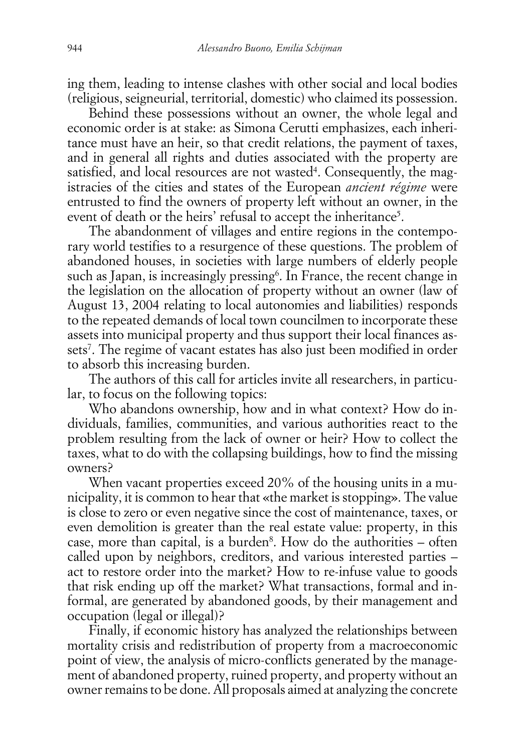ing them, leading to intense clashes with other social and local bodies (religious, seigneurial, territorial, domestic) who claimed its possession.

Behind these possessions without an owner, the whole legal and economic order is at stake: as Simona Cerutti emphasizes, each inheritance must have an heir, so that credit relations, the payment of taxes, and in general all rights and duties associated with the property are satisfied, and local resources are not wasted<sup>4</sup>. Consequently, the magistracies of the cities and states of the European *ancient régime* were entrusted to find the owners of property left without an owner, in the event of death or the heirs' refusal to accept the inheritance<sup>5</sup>.

The abandonment of villages and entire regions in the contemporary world testifies to a resurgence of these questions. The problem of abandoned houses, in societies with large numbers of elderly people such as Japan, is increasingly pressing<sup>6</sup>. In France, the recent change in the legislation on the allocation of property without an owner (law of August 13, 2004 relating to local autonomies and liabilities) responds to the repeated demands of local town councilmen to incorporate these assets into municipal property and thus support their local finances assets<sup>7</sup> . The regime of vacant estates has also just been modified in order to absorb this increasing burden.

The authors of this call for articles invite all researchers, in particular, to focus on the following topics:

Who abandons ownership, how and in what context? How do individuals, families, communities, and various authorities react to the problem resulting from the lack of owner or heir? How to collect the taxes, what to do with the collapsing buildings, how to find the missing owners?

When vacant properties exceed 20% of the housing units in a municipality, it is common to hear that «the market is stopping». The value is close to zero or even negative since the cost of maintenance, taxes, or even demolition is greater than the real estate value: property, in this case, more than capital, is a burden<sup>8</sup>. How do the authorities – often called upon by neighbors, creditors, and various interested parties – act to restore order into the market? How to re-infuse value to goods that risk ending up off the market? What transactions, formal and informal, are generated by abandoned goods, by their management and occupation (legal or illegal)?

Finally, if economic history has analyzed the relationships between mortality crisis and redistribution of property from a macroeconomic point of view, the analysis of micro-conflicts generated by the management of abandoned property, ruined property, and property without an owner remains to be done. All proposals aimed at analyzing the concrete